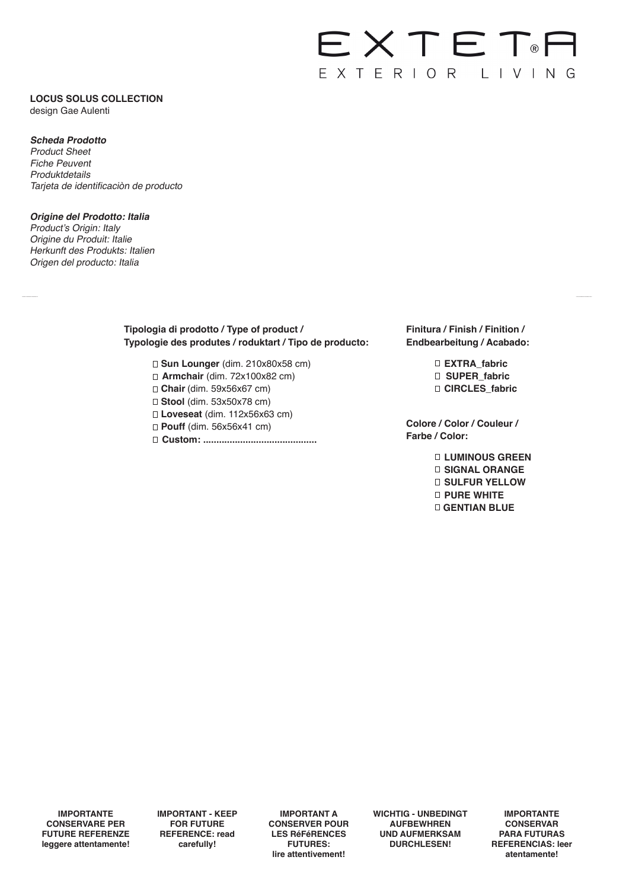# EXTET<sup>®</sup> EXTERIOR LIVING

# **LOCUS SOLUS COLLECTION**

design Gae Aulenti

# **Scheda Prodotto**

Product Sheet Fiche Peuvent Produktdetails Tarjeta de identificaciòn de producto

## **Origine del Prodotto: Italia**

Product's Origin: Italy Origine du Produit: Italie Herkunft des Produkts: Italien Origen del producto: Italia

# **Tipologia di prodotto / Type of product / Typologie des produtes / roduktart / Tipo de producto:**

□ **Sun Lounger** (dim. 210x80x58 cm) **Armchair** (dim. 72x100x82 cm) **Chair** (dim. 59x56x67 cm) **Stool** (dim. 53x50x78 cm) **Loveseat** (dim. 112x56x63 cm) **Pouff** (dim. 56x56x41 cm) **Custom: ...........................................** **Finitura / Finish / Finition / Endbearbeitung / Acabado:** 

> **EXTRA\_fabric SUPER\_fabric CIRCLES\_fabric**

**Colore / Color / Couleur / Farbe / Color:** 

> **LUMINOUS GREEN SIGNAL ORANGE SULFUR YELLOW PURE WHITE GENTIAN BLUE**

**IMPORTANTE CONSERVARE PER FUTURE REFERENZE leggere attentamente!** **IMPORTANT - KEEP FOR FUTURE REFERENCE: read carefully!**

**IMPORTANT A CONSERVER POUR LES RéFéRENCES FUTURES: lire attentivement!**

**WICHTIG - UNBEDINGT AUFBEWHREN UND AUFMERKSAM DURCHLESEN!**

**IMPORTANTE CONSERVAR PARA FUTURAS REFERENCIAS: leer atentamente!**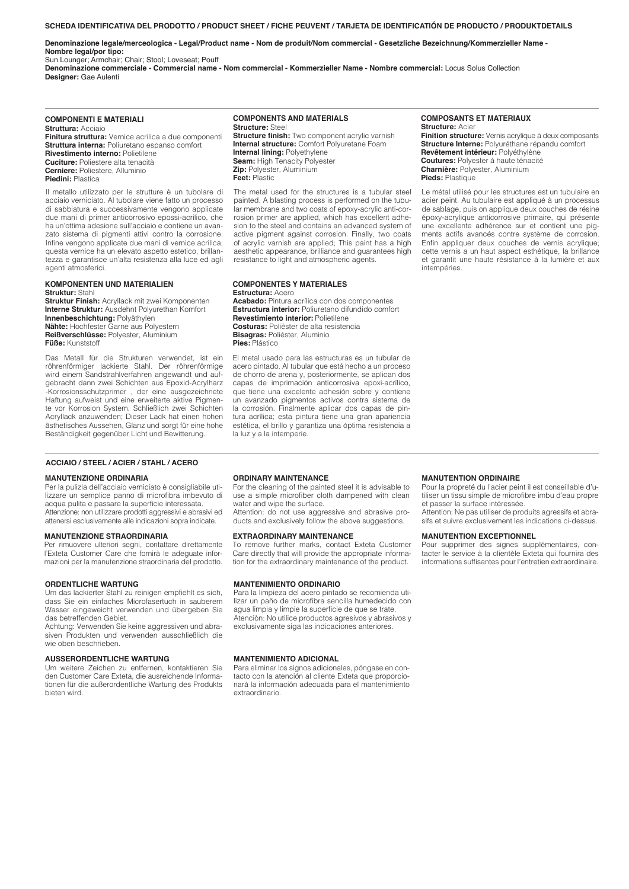#### **SCHEDA IDENTIFICATIVA DEL PRODOTTO / PRODUCT SHEET / FICHE PEUVENT / TARJETA DE IDENTIFICATIÓN DE PRODUCTO / PRODUKTDETAILS**

**Denominazione legale/merceologica - Legal/Product name - Nom de produit/Nom commercial - Gesetzliche Bezeichnung/Kommerzieller Name - Nombre legal/por tipo:**

Sun Lounger; Armchair; Chair; Stool; Loveseat; Pouff

**Denominazione commerciale - Commercial name - Nom commercial - Kommerzieller Name - Nombre commercial:** Locus Solus Collection **Designer:** Gae Aulenti

## **COMPONENTI E MATERIALI**

**Struttura:** Acciaio **Finitura struttura:** Vernice acrilica a due componenti **Struttura interna:** Poliuretano espanso comfort **Rivestimento interno:** Polietilene **Cuciture:** Poliestere alta tenacità **Cerniere:** Poliestere, Alluminio **Piedini:** Plastica

Il metallo utilizzato per le strutture è un tubolare di acciaio verniciato. Al tubolare viene fatto un processo di sabbiatura e successivamente vengono applicate due mani di primer anticorrosivo epossi-acrilico, che ha un'ottima adesione sull'acciaio e contiene un avanzato sistema di pigmenti attivi contro la corrosione. Infine vengono applicate due mani di vernice acrilica; questa vernice ha un elevato aspetto estetico, brillantezza e garantisce un'alta resistenza alla luce ed agli agenti atmosferici.

#### **KOMPONENTEN UND MATERIALIEN Struktur:** Stahl

**Struktur Finish:** Acryllack mit zwei Komponenten **Interne Struktur:** Ausdehnt Polyurethan Komfort **Innenbeschichtung:** Polyäthylen **Nähte:** Hochfester Garne aus Polyestern **Reißverschlüsse:** Polyester, Aluminium **Füße:** Kunststoff

Das Metall für die Strukturen verwendet, ist ein röhrenförmiger lackierte Stahl. Der röhrenförmige wird einem Sandstrahlverfahren angewandt und aufgebracht dann zwei Schichten aus Epoxid-Acrylharz -Korrosionsschutzprimer , der eine ausgezeichnete Haftung aufweist und eine erweiterte aktive Pigmente vor Korrosion System. Schließlich zwei Schichten Acryllack anzuwenden; Dieser Lack hat einen hohen ästhetisches Aussehen, Glanz und sorgt für eine hohe Beständigkeit gegenüber Licht und Bewitterung.

#### **COMPONENTS AND MATERIALS Structure:** Steel

**Structure finish:** Two component acrylic varnish **Internal structure:** Comfort Polyuretane Foam **Internal lining:** Polyethylene **Seam:** High Tenacity Polyester **Zip:** Polyester, Aluminium **Feet:** Plastic

The metal used for the structures is a tubular steel painted. A blasting process is performed on the tubular membrane and two coats of epoxy-acrylic anti-corrosion primer are applied, which has excellent adhesion to the steel and contains an advanced system of active pigment against corrosion. Finally, two coats of acrylic varnish are applied; This paint has a high aesthetic appearance, brilliance and guarantees high resistance to light and atmospheric agents.

**COMPONENTES Y MATERIALES Estructura:** Acero **Acabado:** Pintura acrílica con dos componentes **Estructura interior:** Poliuretano difundido comfort **Revestimiento interior:** Polietilene **Costuras:** Poliéster de alta resistencia **Bisagras:** Poliéster, Aluminio

El metal usado para las estructuras es un tubular de acero pintado. Al tubular que está hecho a un proceso de chorro de arena y, posteriormente, se aplican dos capas de imprimación anticorrosiva epoxi-acrílico, que tiene una excelente adhesión sobre y contiene un avanzado pigmentos activos contra sistema de la corrosión. Finalmente aplicar dos capas de pintura acrílica; esta pintura tiene una gran apariencia estética, el brillo y garantiza una óptima resistencia a la luz y a la intemperie.

#### **COMPOSANTS ET MATERIAUX Structure:** Acier

**Finition structure:** Vernis acrylique à deux composants **Structure Interne:** Polyuréthane répandu comfort **Revêtement intérieur:** Polyéthylène **Coutures:** Polyester à haute ténacité **Charnière:** Polyester, Aluminium **Pieds:** Plastique

Le métal utilisé pour les structures est un tubulaire en acier peint. Au tubulaire est appliqué à un processus de sablage, puis on applique deux couches de résine époxy-acrylique anticorrosive primaire, qui présente une excellente adhérence sur et contient une pigments actifs avancés contre système de corrosion. Enfin appliquer deux couches de vernis acrylique; cette vernis a un haut aspect esthétique, la brillance et garantit une haute résistance à la lumière et aux intempéries.

## **ACCIAIO / STEEL / ACIER / STAHL / ACERO**

## **MANUTENZIONE ORDINARIA**

Per la pulizia dell'acciaio verniciato è consigliabile utilizzare un semplice panno di microfibra imbevuto di acqua pulita e passare la superficie interessata. Attenzione: non utilizzare prodotti aggressivi e abrasivi ed attenersi esclusivamente alle indicazioni sopra indicate.

## **MANUTENZIONE STRAORDINARIA**

Per rimuovere ulteriori segni, contattare direttamente l'Exteta Customer Care che fornirà le adeguate informazioni per la manutenzione straordinaria del prodotto.

## **ORDENTLICHE WARTUNG**

Um das lackierter Stahl zu reinigen empfiehlt es sich, dass Sie ein einfaches Microfasertuch in sauberem Wasser eingeweicht verwenden und übergeben Sie das betreffenden Gebiet.

Achtung: Verwenden Sie keine aggressiven und abrasiven Produkten und verwenden ausschließlich die wie oben beschrieben.

## **AUSSERORDENTLICHE WARTUNG**

Um weitere Zeichen zu entfernen, kontaktieren Sie den Customer Care Exteta, die ausreichende Informationen für die außerordentliche Wartung des Produkts bieten wird.

#### **ORDINARY MAINTENANCE**

**Pies:** Plástico

For the cleaning of the painted steel it is advisable to use a simple microfiber cloth dampened with clean water and wipe the surface.

Attention: do not use aggressive and abrasive products and exclusively follow the above suggestions.

## **EXTRAORDINARY MAINTENANCE**

To remove further marks, contact Exteta Customer Care directly that will provide the appropriate information for the extraordinary maintenance of the product.

## **MANTENIMIENTO ORDINARIO**

Para la limpieza del acero pintado se recomienda utilizar un paño de microfibra sencilla humedecido con agua limpia y limpie la superficie de que se trate. Atenciòn: No utilice productos agresivos y abrasivos y exclusivamente siga las indicaciones anteriores.

#### **MANTENIMIENTO ADICIONAL**

Para eliminar los signos adicionales, póngase en contacto con la atención al cliente Exteta que proporcionará la información adecuada para el mantenimiento extraordinario.

## **MANUTENTION ORDINAIRE**

Pour la propreté du l'acier peint il est conseillable d'utiliser un tissu simple de microfibre imbu d'eau propre et passer la surface intéressée.

Attention: Ne pas utiliser de produits agressifs et abrasifs et suivre exclusivement les indications ci-dessus.

## **MANUTENTION EXCEPTIONNEL**

Pour supprimer des signes supplémentaires, contacter le service à la clientèle Exteta qui fournira des informations suffisantes pour l'entretien extraordinaire.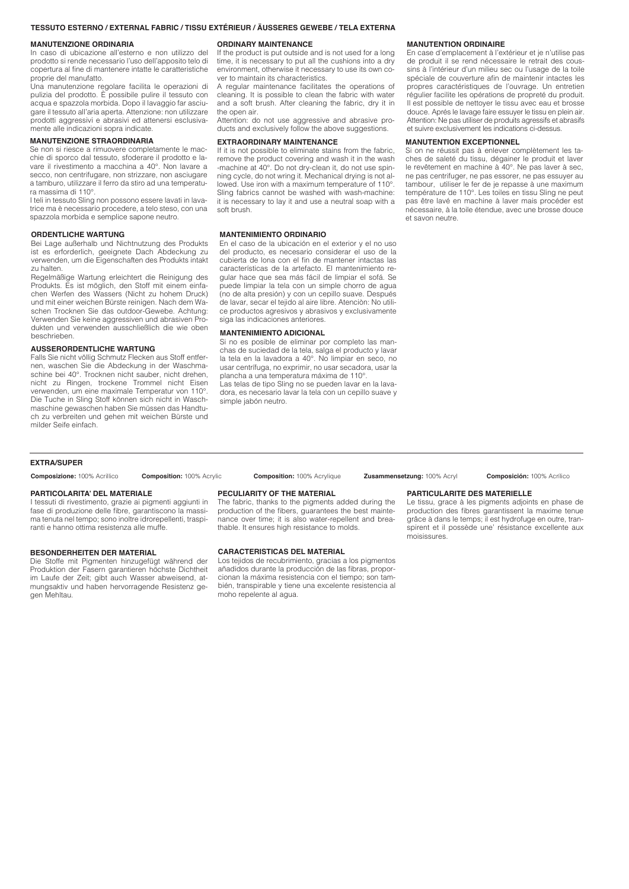## **TESSUTO ESTERNO / EXTERNAL FABRIC / TISSU EXTÉRIEUR / ÄUSSERES GEWEBE / TELA EXTERNA**

## **MANUTENZIONE ORDINARIA**

In caso di ubicazione all'esterno e non utilizzo del prodotto si rende necessario l'uso dell'apposito telo di copertura al fine di mantenere intatte le caratteristiche proprie del manufatto.

Una manutenzione regolare facilita le operazioni di pulizia del prodotto. È possibile pulire il tessuto con acqua e spazzola morbida. Dopo il lavaggio far asciugare il tessuto all'aria aperta. Attenzione: non utilizzare prodotti aggressivi e abrasivi ed attenersi esclusivamente alle indicazioni sopra indicate.

#### **MANUTENZIONE STRAORDINARIA**

Se non si riesce a rimuovere completamente le macchie di sporco dal tessuto, sfoderare il prodotto e lavare il rivestimento a macchina a 40°. Non lavare a secco, non centrifugare, non strizzare, non asciugare a tamburo, utilizzare il ferro da stiro ad una temperatura massima di 110°.

I teli in tessuto Sling non possono essere lavati in lavatrice ma è necessario procedere, a telo steso, con una spazzola morbida e semplice sapone neutro.

#### **ORDENTLICHE WARTUNG**

Bei Lage außerhalb und Nichtnutzung des Produkts ist es erforderlich, geeignete Dach Abdeckung zu verwenden, um die Eigenschaften des Produkts intakt zu halten.

Regelmäßige Wartung erleichtert die Reinigung des Produkts. Es ist möglich, den Stoff mit einem einfachen Werfen des Wassers (Nicht zu hohem Druck) und mit einer weichen Bürste reinigen. Nach dem Waschen Trocknen Sie das outdoor-Gewebe. Achtung: Verwenden Sie keine aggressiven und abrasiven Produkten und verwenden ausschließlich die wie oben beschrieben.

#### **AUSSERORDENTLICHE WARTUNG**

Falls Sie nicht völlig Schmutz Flecken aus Stoff entfernen, waschen Sie die Abdeckung in der Waschmaschine bei 40°. Trocknen nicht sauber, nicht drehen, nicht zu Ringen, trockene Trommel nicht Eisen verwenden, um eine maximale Temperatur von 110°. Die Tuche in Sling Stoff können sich nicht in Waschmaschine gewaschen haben Sie müssen das Handtuch zu verbreiten und gehen mit weichen Bürste und milder Seife einfach.

#### **ORDINARY MAINTENANCE**

If the product is put outside and is not used for a long time, it is necessary to put all the cushions into a dry environment, otherwise it necessary to use its own cover to maintain its characteristics.

A regular maintenance facilitates the operations of cleaning. It is possible to clean the fabric with water and a soft brush. After cleaning the fabric, dry it in the open air.

Attention: do not use aggressive and abrasive products and exclusively follow the above suggestions.

#### **EXTRAORDINARY MAINTENANCE**

If it is not possible to eliminate stains from the fabric, remove the product covering and wash it in the wash -machine at 40°. Do not dry-clean it, do not use spinning cycle, do not wring it. Mechanical drying is not allowed. Use iron with a maximum temperature of 110°. Sling fabrics cannot be washed with wash-machine: it is necessary to lay it and use a neutral soap with a soft brush.

#### **MANTENIMIENTO ORDINARIO**

En el caso de la ubicación en el exterior y el no uso del producto, es necesario considerar el uso de la cubierta de lona con el fin de mantener intactas las características de la artefacto. El mantenimiento regular hace que sea más fácil de limpiar el sofá. Se puede limpiar la tela con un simple chorro de agua (no de alta presión) y con un cepillo suave. Después de lavar, secar el tejido al aire libre. Atenciòn: No utilice productos agresivos y abrasivos y exclusivamente siga las indicaciones anteriores.

## **MANTENIMIENTO ADICIONAL**

Si no es posible de eliminar por completo las manchas de suciedad de la tela, salga el producto y lavar la tela en la lavadora a 40°. No limpiar en seco, no usar centrífuga, no exprimir, no usar secadora, usar la plancha a una temperatura máxima de 110°.

Las telas de tipo Sling no se pueden lavar en la lavadora, es necesario lavar la tela con un cepillo suave y simple jabón neutro.

#### **MANUTENTION ORDINAIRE**

En case d'emplacement à l'extérieur et je n'utilise pas de produit il se rend nécessaire le retrait des coussins à l'intérieur d'un milieu sec ou l'usage de la toile spéciale de couverture afin de maintenir intactes les propres caractéristiques de l'ouvrage. Un entretien régulier facilite les opérations de propreté du produit. Il est possible de nettoyer le tissu avec eau et brosse douce. Aprés le lavage faire essuyer le tissu en plein air. Attention: Ne pas utiliser de produits agressifs et abrasifs et suivre exclusivement les indications ci-dessus.

#### **MANUTENTION EXCEPTIONNEL**

Si on ne réussit pas à enlever complètement les taches de saleté du tissu, dégainer le produit et laver le revêtement en machine à 40°. Ne pas laver à sec, ne pas centrifuger, ne pas essorer, ne pas essuyer au tambour, utiliser le fer de je repasse à une maximum température de 110°. Les toiles en tissu Sling ne peut pas être lavé en machine à laver mais procéder est nécessaire, à la toile étendue, avec une brosse douce et savon neutre.

**EXTRA/SUPER**

**Composizione:** 100% Acrillico **Composition:** 100% Acrylic **Composition:** 100% Acrylique **Zusammensetzung:** 100% Acryl **Composición:** 100% Acrílico

#### **PARTICOLARITA' DEL MATERIALE**

I tessuti di rivestimento, grazie ai pigmenti aggiunti in fase di produzione delle fibre, garantiscono la massima tenuta nel tempo; sono inoltre idrorepellenti, traspiranti e hanno ottima resistenza alle muffe.

#### **BESONDERHEITEN DER MATERIAL**

Die Stoffe mit Pigmenten hinzugefügt während der Produktion der Fasern garantieren höchste Dichtheit im Laufe der Zeit; gibt auch Wasser abweisend, atmungsaktiv und haben hervorragende Resistenz gegen Mehltau.

#### **PECULIARITY OF THE MATERIAL**

The fabric, thanks to the pigments added during the production of the fibers, guarantees the best maintenance over time; it is also water-repellent and breathable. It ensures high resistance to molds.

## **CARACTERISTICAS DEL MATERIAL**

Los tejidos de recubrimiento, gracias a los pigmentos añadidos durante la producción de las fibras, proporcionan la máxima resistencia con el tiempo; son también, transpirable y tiene una excelente resistencia al moho repelente al agua.

## **PARTICULARITE DES MATERIELLE**

Le tissu, grace à les pigments adjoints en phase de production des fibres garantissent la maxime tenue grâce à dans le temps; il est hydrofuge en outre, transpirent et il possède une' résistance excellente aux moisissures.